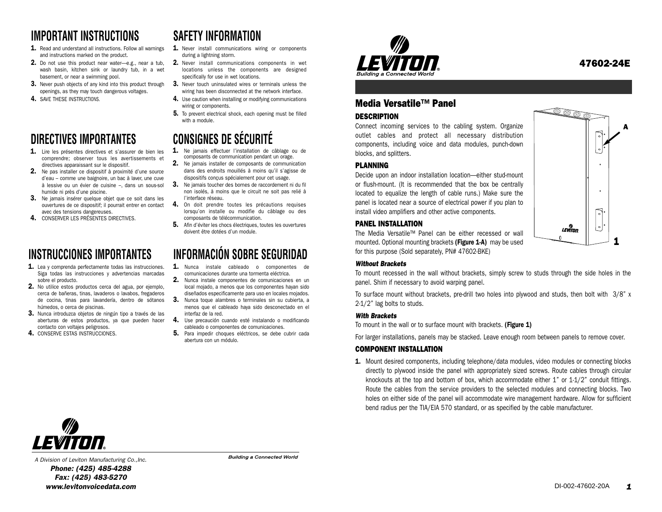## **IMPORTANT INSTRUCTIONS**

- 1. Read and understand all instructions. Follow all warnings and instructions marked on the product.
- 2. Do not use this product near water—e.g., near a tub, wash basin, kitchen sink or laundry tub, in a wet basement, or near a swimming pool.
- 3. Never push objects of any kind into this product through openings, as they may touch dangerous voltages.
- 4. SAVE THESE INSTRUCTIONS.

## **DIRECTIVES IMPORTANTES**

- 1. Lire les présentes directives et s'assurer de bien les comprendre; observer tous les avertissements et directives apparaissant sur le dispositif.
- 2. Ne pas installer ce dispositif à proximité d'une source d'eau – comme une baignoire, un bac à laver, une cuve à lessive ou un évier de cuisine  $-$ , dans un sous-sol  $3$ . humide ni près d'une piscine.
- **3.** Ne jamais insérer quelque objet que ce soit dans les avec des tensions dangereuses.
- 4. CONSERVER LES PRÉSENTES DIRECTIVES.

## **INSTRUCCIONES IMPORTANTES**

- 1. Lea y comprenda perfectamente todas las instrucciones. Siga todas las instrucciones y advertencias marcadas sobre el producto.
- 2. No utilice estos productos cerca del agua, por ejemplo, cerca de bañeras, tinas, lavaderos o lavabos, fregaderos de cocina, tinas para lavandería, dentro de sótanos húmedos, o cerca de piscinas.
- 3. Nunca introduzca objetos de ningún tipo a través de las aberturas de estos productos, ya que pueden hacer contacto con voltajes peligrosos.
- 4. CONSERVE ESTAS INSTRUCCIONES.

# **SAFETY INFORMATION**

- 1. Never install communications wiring or components during a lightning storm.
- 2. Never install communications components in wet locations unless the components are designed specifically for use in wet locations.
- 3. Never touch uninsulated wires or terminals unless the wiring has been disconnected at the network interface.
- 4. Use caution when installing or modifying communications wiring or components.
- 5. To prevent electrical shock, each opening must be filled with a module.

# **CONSIGNES DE SÉCURITÉ**

- 1. Ne jamais effectuer l'installation de câblage ou de composants de communication pendant un orage. 2. Ne jamais installer de composants de communication
- dans des endroits mouillés à moins qu'il s'agisse de dispositifs conçus spécialement pour cet usage.
- 3. Ne jamais toucher des bornes de raccordement ni du fil non isolés, à moins que le circuit ne soit pas relié à l'interface réseau.
- ouvertures de ce dispositif; il pourrait entrer en contact **4.** On doit prendre toutes les précautions requises lorsqu'on installe ou modifie du câblage ou des composants de télécommunication.
	- 5. Afin d'éviter les chocs électriques, toutes les ouvertures doivent être dotées d'un module.

# **INFORMACIÓN SOBRE SEGURIDAD**

- 1. Nunca instale cableado o componentes de comunicaciones durante una tormenta eléctrica.
- 2. Nunca instale componentes de comunicaciones en un local mojado, a menos que los componentes hayan sido diseñados especificamente para uso en locales mojados.
- **3.** Nunca toque alambres o terminales sin su cubierta, a menos que el cableado haya sido desconectado en el interfaz de la red.
- 4. Use precaución cuando esté instalando o modificando cableado o componentes de comunicaciones.
- 5. Para impedir choques eléctricos, se debe cubrir cada abertura con un módulo.



## Media Versatile™ Panel

#### **DESCRIPTION**

Connect incoming services to the cabling system. Organize outlet cables and protect all necessary distribution components, including voice and data modules, punch-down blocks, and splitters.

#### PLANNING

Decide upon an indoor installation location—either stud-mount or flush-mount. (It is recommended that the box be centrally located to equalize the length of cable runs.) Make sure the panel is located near a source of electrical power if you plan to install video amplifiers and other active components.

#### PANEL INSTALLATION

The Media Versatile™ Panel can be either recessed or wall mounted. Optional mounting brackets (Figure 1-A) may be used for this purpose (Sold separately, PN# 47602-BKE)



#### *Without Brackets*

To mount recessed in the wall without brackets, simply screw to studs through the side holes in the panel. Shim if necessary to avoid warping panel.

To surface mount without brackets, pre-drill two holes into plywood and studs, then bolt with  $3/8$ " x 2-1/2" lag bolts to studs.

#### *With Brackets*

To mount in the wall or to surface mount with brackets. (Figure 1)

For larger installations, panels may be stacked. Leave enough room between panels to remove cover.

#### COMPONENT INSTALLATION

1. Mount desired components, including telephone/data modules, video modules or connecting blocks directly to plywood inside the panel with appropriately sized screws. Route cables through circular knockouts at the top and bottom of box, which accommodate either 1" or 1-1/2" conduit fittings. Route the cables from the service providers to the selected modules and connecting blocks. Two holes on either side of the panel will accommodate wire management hardware. Allow for sufficient bend radius per the TIA/EIA 570 standard, or as specified by the cable manufacturer.



*A Division of Leviton Manufacturing Co.,Inc. Phone: (425) 485-4288 Fax: (425) 483-5270 www.levitonvoicedata.com 1*

**Building a Connected World** 

47602-24E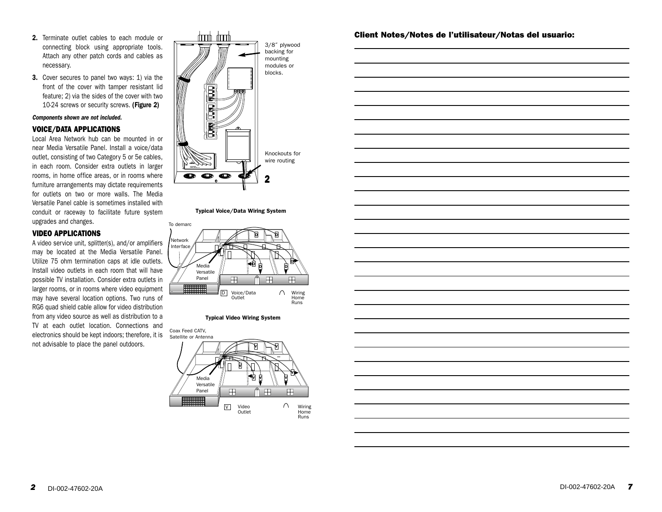- 2. Terminate outlet cables to each module or connecting block using appropriate tools. Attach any other patch cords and cables as necessary.
- 3. Cover secures to panel two ways: 1) via the front of the cover with tamper resistant lid feature; 2) via the sides of the cover with two 10-24 screws or security screws. (Figure 2)

#### *Components shown are not included.*

#### VOICE/DATA APPLICATIONS

Local Area Network hub can be mounted in or near Media Versatile Panel. Install a voice/data outlet, consisting of two Category 5 or 5e cables, in each room. Consider extra outlets in larger rooms, in home office areas, or in rooms where furniture arrangements may dictate requirements for outlets on two or more walls. The Media Versatile Panel cable is sometimes installed with conduit or raceway to facilitate future system upgrades and changes.

#### VIDEO APPLICATIONS

A video service unit, splitter(s), and/or amplifiers may be located at the Media Versatile Panel. Utilize 75 ohm termination caps at idle outlets. Install video outlets in each room that will have possible TV installation. Consider extra outlets in larger rooms, or in rooms where video equipment may have several location options. Two runs of RG6 quad shield cable allow for video distribution from any video source as well as distribution to a TV at each outlet location. Connections and electronics should be kept indoors; therefore, it is not advisable to place the panel outdoors.



#### Typical Voice/Data Wiring System



#### **VIDEO WIRING SYSTEM** Typical Video Wiring System



#### Client Notes/Notes de l'utilisateur/Notas del usuario:

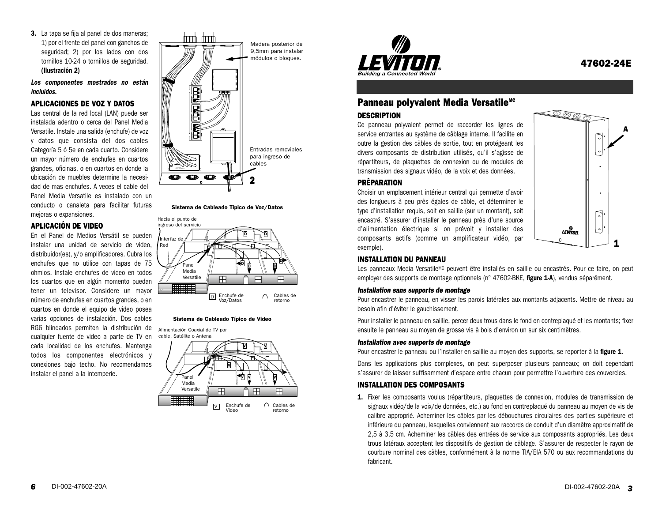3. La tapa se fija al panel de dos maneras; 1) por el frente del panel con ganchos de seguridad; 2) por los lados con dos tornillos 10-24 o tornillos de seguridad. (Ilustración 2)

*Los componentes mostrados no están incluidos.*

#### APLICACIONES DE VOZ Y DATOS

Las central de la red local (LAN) puede ser instalada adentro o cerca del Panel Media Versatile. Instale una salida (enchufe) de voz y datos que consista del dos cables Categoría 5 ó 5e en cada cuarto. Considere un mayor número de enchufes en cuartos grandes, oficinas, o en cuartos en donde la ubicación de muebles determine la necesidad de mas enchufes. A veces el cable del Panel Media Versatile es instalado con un conducto o canaleta para facilitar futuras mejoras o expansiones.

#### APLICACIÓN DE VIDEO

En el Panel de Medios Versátil se pueden instalar una unidad de servicio de video, distribuidor(es), y/o amplificadores. Cubra los enchufes que no utilice con tapas de 75 ohmios. Instale enchufes de video en todos los cuartos que en algún momento puedan tener un televisor. Considere un mayor número de enchufes en cuartos grandes, o en cuartos en donde el equipo de video posea varias opciones de instalación. Dos cables RG6 blindados permiten la distribución de cualquier fuente de video a parte de TV en cada localidad de los enchufes. Mantenga todos los componentes electrónicos y conexiones bajo techo. No recomendamos instalar el panel a la intemperie.



Sistema de Cableado Típico de Voz/Datos



#### Sistema de Cableado Típico de Video

Alimentación Coaxial de TV por cable, Satélite o Antena **V V V V** Panel **V V V** Media Versatile 田 m 田 m mm  $\bigcap$  Cables de V

Enchufe de Video retorno



### Panneau polyvalent Media Versatile<sup>MC</sup>

#### **DESCRIPTION**

PRÉPARATION

exemple).

Ce panneau polyvalent permet de raccorder les lignes de service entrantes au système de câblage interne. Il facilite en outre la gestion des câbles de sortie, tout en protégeant les divers composants de distribution utilisés, qu'il s'agisse de répartiteurs, de plaquettes de connexion ou de modules de transmission des signaux vidéo, de la voix et des données.

Choisir un emplacement intérieur central qui permette d'avoir des longueurs à peu près égales de câble, et déterminer le type d'installation requis, soit en saillie (sur un montant), soit encastré. S'assurer d'installer le panneau près d'une source d'alimentation électrique si on prévoit y installer des composants actifs (comme un amplificateur vidéo, par



### INSTALLATION DU PANNEAU

Les panneaux Media Versatile<sup>MC</sup> peuvent être installés en saillie ou encastrés. Pour ce faire, on peut employer des supports de montage optionnels (n° 47602-BKE, figure 1-A), vendus séparément.

#### *Installation sans supports de montage*

Pour encastrer le panneau, en visser les parois latérales aux montants adjacents. Mettre de niveau au besoin afin d'éviter le gauchissement.

Pour installer le panneau en saillie, percer deux trous dans le fond en contreplaqué et les montants; fixer ensuite le panneau au moyen de grosse vis à bois d'environ un sur six centimètres.

#### *Installation avec supports de montage*

Pour encastrer le panneau ou l'installer en saillie au moyen des supports, se reporter à la figure 1.

Dans les applications plus complexes, on peut superposer plusieurs panneaux; on doit cependant <sup>s</sup>'assurer de laisser suffisamment d'espace entre chacun pour permettre l'ouverture des couvercles.

#### INSTALLATION DES COMPOSANTS

1. Fixer les composants voulus (répartiteurs, plaquettes de connexion, modules de transmission de signaux vidéo/de la voix/de données, etc.) au fond en contreplaqué du panneau au moyen de vis de calibre approprié. Acheminer les câbles par les débouchures circulaires des parties supérieure et inférieure du panneau, lesquelles conviennent aux raccords de conduit d'un diamètre approximatif de 2,5 à 3,5 cm. Acheminer les câbles des entrées de service aux composants appropriés. Les deux trous latéraux acceptent les dispositifs de gestion de câblage. S'assurer de respecter le rayon de courbure nominal des câbles, conformément à la norme TIA/EIA 570 ou aux recommandations du fabricant.

47602-24E